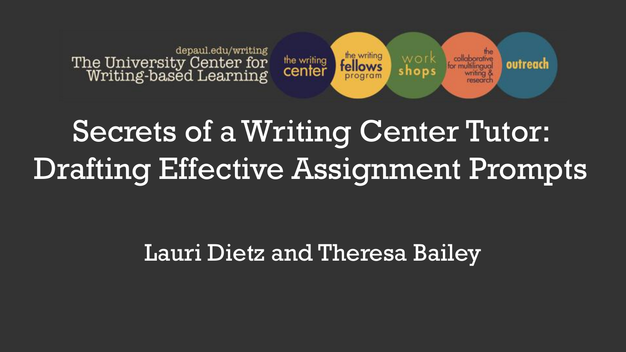

# Secrets of a Writing Center Tutor: Drafting Effective Assignment Prompts

Lauri Dietz and Theresa Bailey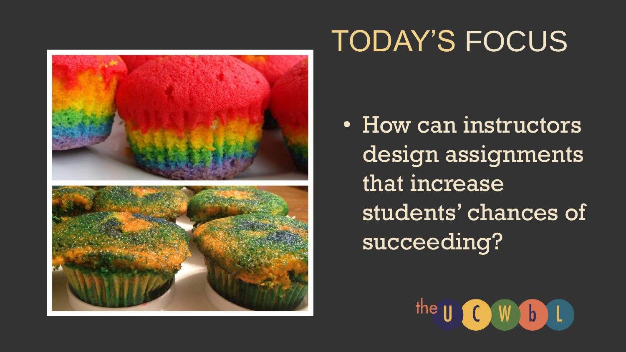

## TODAY'S FOCUS

• How can instructors design assignments that increase students' chances of succeeding?

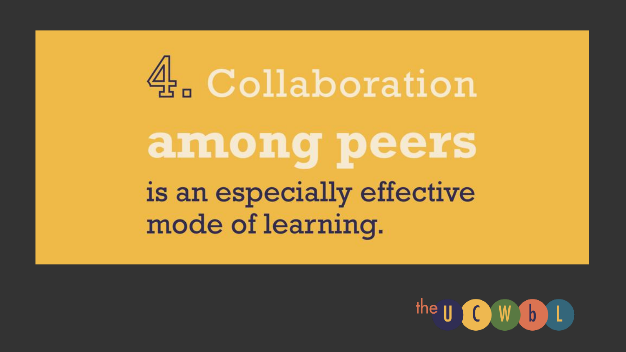

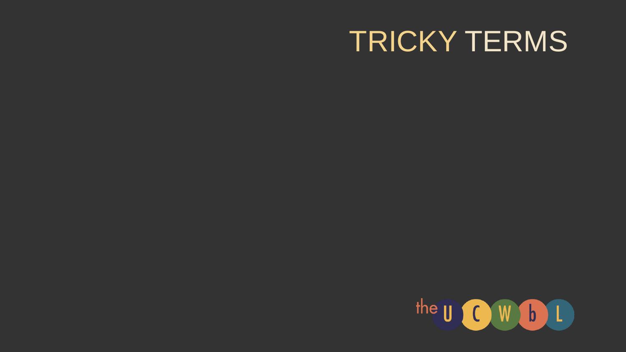#### TRICKY TERMS

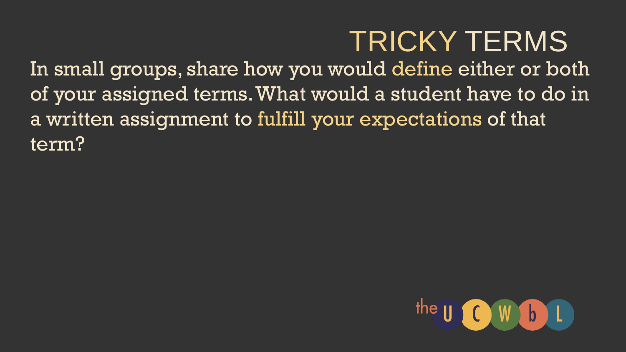## TRICKY TERMS

In small groups, share how you would define either or both of your assigned terms. What would a student have to do in a written assignment to fulfill your expectations of that term?

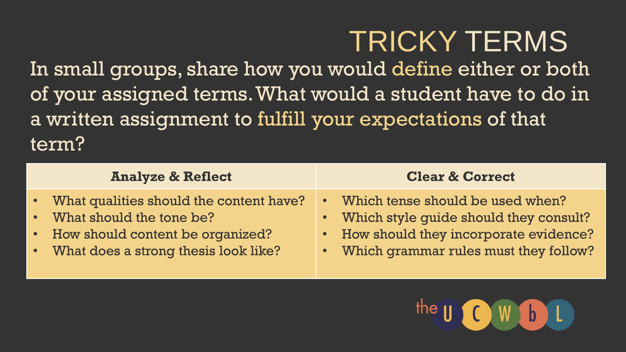## TRICKY TERMS

In small groups, share how you would define either or both of your assigned terms. What would a student have to do in a written assignment to fulfill your expectations of that term?

| <b>Analyze &amp; Reflect</b>              | <b>Clear &amp; Correct</b>               |
|-------------------------------------------|------------------------------------------|
| • What qualities should the content have? | • Which tense should be used when?       |
| • What should the tone be?                | • Which style quide should they consult? |
| • How should content be organized?        | • How should they incorporate evidence?  |
| • What does a strong thesis look like?    | • Which grammar rules must they follow?  |

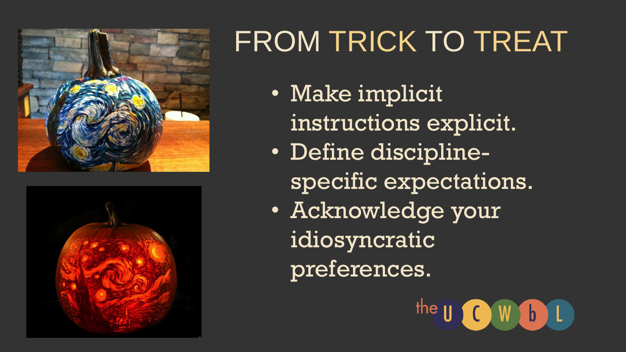



# FROM TRICK TO TREAT

- Make implicit instructions explicit.
- Define disciplinespecific expectations.
- Acknowledge your idiosyncratic preferences.

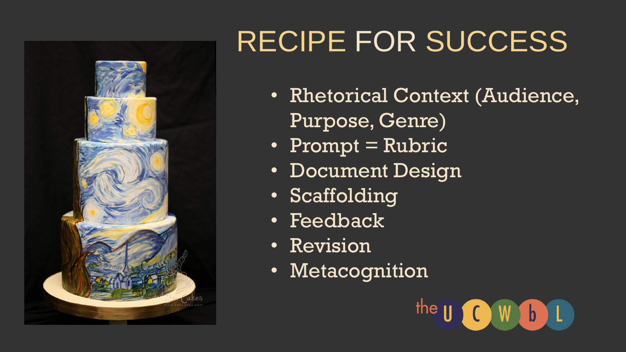

# RECIPE FOR SUCCESS

- Rhetorical Context (Audience, Purpose, Genre)
- Prompt = Rubric
- Document Design
- Scaffolding
- Feedback
- Revision
- Metacognition